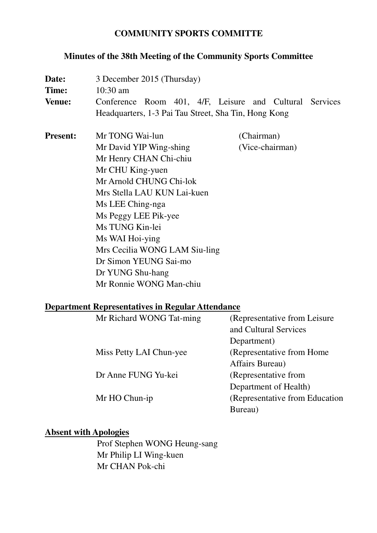#### **COMMUNITY SPORTS COMMITTE**

# **Minutes of the 38th Meeting of the Community Sports Committee**

| Date:<br>Time:<br><b>Venue:</b>                         | 3 December 2015 (Thursday)<br>$10:30$ am<br>Conference Room 401, 4/F, Leisure and Cultural Services<br>Headquarters, 1-3 Pai Tau Street, Sha Tin, Hong Kong |                 |  |
|---------------------------------------------------------|-------------------------------------------------------------------------------------------------------------------------------------------------------------|-----------------|--|
| <b>Present:</b>                                         | Mr TONG Wai-lun                                                                                                                                             | (Chairman)      |  |
|                                                         | Mr David YIP Wing-shing                                                                                                                                     | (Vice-chairman) |  |
|                                                         | Mr Henry CHAN Chi-chiu                                                                                                                                      |                 |  |
|                                                         | Mr CHU King-yuen                                                                                                                                            |                 |  |
|                                                         | Mr Arnold CHUNG Chi-lok                                                                                                                                     |                 |  |
|                                                         |                                                                                                                                                             |                 |  |
|                                                         | Mrs Stella LAU KUN Lai-kuen                                                                                                                                 |                 |  |
|                                                         | Ms LEE Ching-nga                                                                                                                                            |                 |  |
|                                                         | Ms Peggy LEE Pik-yee                                                                                                                                        |                 |  |
|                                                         | Ms TUNG Kin-lei                                                                                                                                             |                 |  |
|                                                         | Ms WAI Hoi-ying                                                                                                                                             |                 |  |
|                                                         | Mrs Cecilia WONG LAM Siu-ling                                                                                                                               |                 |  |
|                                                         | Dr Simon YEUNG Sai-mo                                                                                                                                       |                 |  |
|                                                         | Dr YUNG Shu-hang                                                                                                                                            |                 |  |
|                                                         | Mr Ronnie WONG Man-chiu                                                                                                                                     |                 |  |
|                                                         |                                                                                                                                                             |                 |  |
| <b>Department Representatives in Regular Attendance</b> |                                                                                                                                                             |                 |  |
|                                                         | $M_r$ Dichard WONC Tot mino (Doprosoptative from Loisure)                                                                                                   |                 |  |

| Mr Richard WONG Tat-ming | (Representative from Leisure)   |
|--------------------------|---------------------------------|
|                          | and Cultural Services           |
|                          | Department)                     |
| Miss Petty LAI Chun-yee  | (Representative from Home)      |
|                          | Affairs Bureau)                 |
| Dr Anne FUNG Yu-kei      | (Representative from            |
|                          | Department of Health)           |
| Mr HO Chun-ip            | (Representative from Education) |
|                          | Bureau)                         |

# **Absent with Apologies**

Prof Stephen WONG Heung-sang Mr Philip LI Wing-kuen Mr CHAN Pok-chi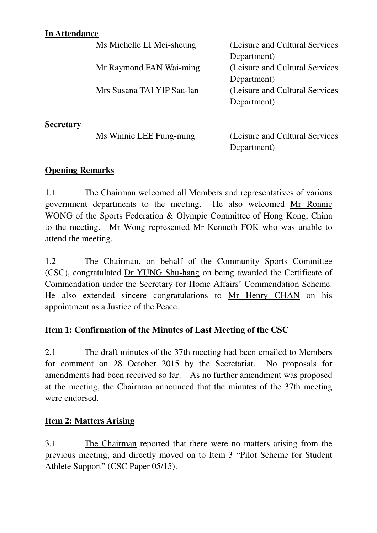#### **In Attendance**

|                  | Ms Michelle LI Mei-sheung  | (Leisure and Cultural Services) |
|------------------|----------------------------|---------------------------------|
|                  |                            | Department)                     |
|                  | Mr Raymond FAN Wai-ming    | (Leisure and Cultural Services) |
|                  |                            | Department)                     |
|                  | Mrs Susana TAI YIP Sau-lan | (Leisure and Cultural Services) |
|                  |                            | Department)                     |
|                  |                            |                                 |
| <b>Secretary</b> |                            |                                 |

| Ms Winnie LEE Fung-ming | (Leisure and Cultural Services) |
|-------------------------|---------------------------------|
|                         | Department)                     |

#### **Opening Remarks**

1.1 The Chairman welcomed all Members and representatives of various government departments to the meeting. He also welcomed Mr Ronnie WONG of the Sports Federation & Olympic Committee of Hong Kong, China to the meeting. Mr Wong represented Mr Kenneth FOK who was unable to attend the meeting.

1.2 The Chairman, on behalf of the Community Sports Committee (CSC), congratulated Dr YUNG Shu-hang on being awarded the Certificate of Commendation under the Secretary for Home Affairs' Commendation Scheme. He also extended sincere congratulations to Mr Henry CHAN on his appointment as a Justice of the Peace.

# **Item 1: Confirmation of the Minutes of Last Meeting of the CSC**

2.1 The draft minutes of the 37th meeting had been emailed to Members for comment on 28 October 2015 by the Secretariat. No proposals for amendments had been received so far. As no further amendment was proposed at the meeting, the Chairman announced that the minutes of the 37th meeting were endorsed.

#### **Item 2: Matters Arising**

3.1 The Chairman reported that there were no matters arising from the previous meeting, and directly moved on to Item 3 "Pilot Scheme for Student Athlete Support" (CSC Paper 05/15).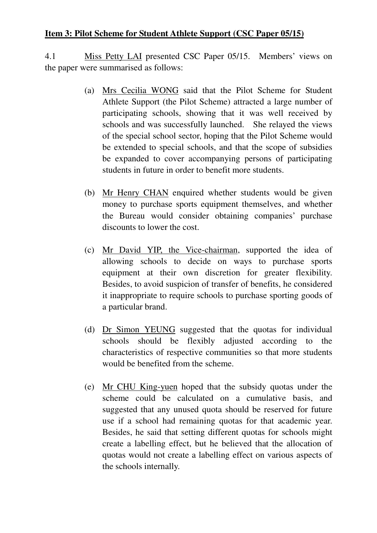# **Item 3: Pilot Scheme for Student Athlete Support (CSC Paper 05/15)**

4.1 Miss Petty LAI presented CSC Paper 05/15. Members' views on the paper were summarised as follows:

- (a) Mrs Cecilia WONG said that the Pilot Scheme for Student Athlete Support (the Pilot Scheme) attracted a large number of participating schools, showing that it was well received by schools and was successfully launched. She relayed the views of the special school sector, hoping that the Pilot Scheme would be extended to special schools, and that the scope of subsidies be expanded to cover accompanying persons of participating students in future in order to benefit more students.
- (b) Mr Henry CHAN enquired whether students would be given money to purchase sports equipment themselves, and whether the Bureau would consider obtaining companies' purchase discounts to lower the cost.
- (c) Mr David YIP, the Vice-chairman, supported the idea of allowing schools to decide on ways to purchase sports equipment at their own discretion for greater flexibility. Besides, to avoid suspicion of transfer of benefits, he considered it inappropriate to require schools to purchase sporting goods of a particular brand.
- (d) Dr Simon YEUNG suggested that the quotas for individual schools should be flexibly adjusted according to the characteristics of respective communities so that more students would be benefited from the scheme.
- (e) Mr CHU King-yuen hoped that the subsidy quotas under the scheme could be calculated on a cumulative basis, and suggested that any unused quota should be reserved for future use if a school had remaining quotas for that academic year. Besides, he said that setting different quotas for schools might create a labelling effect, but he believed that the allocation of quotas would not create a labelling effect on various aspects of the schools internally.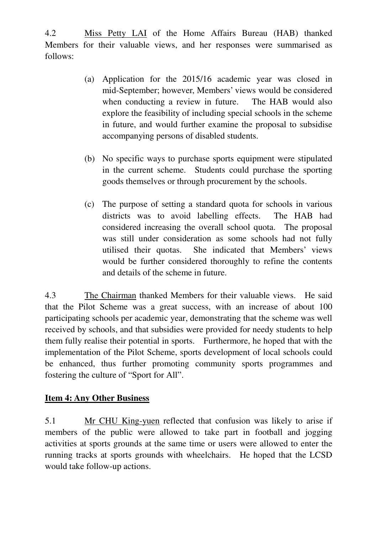4.2 Miss Petty LAI of the Home Affairs Bureau (HAB) thanked Members for their valuable views, and her responses were summarised as follows:

- (a) Application for the 2015/16 academic year was closed in mid-September; however, Members' views would be considered when conducting a review in future. The HAB would also explore the feasibility of including special schools in the scheme in future, and would further examine the proposal to subsidise accompanying persons of disabled students.
- (b) No specific ways to purchase sports equipment were stipulated in the current scheme. Students could purchase the sporting goods themselves or through procurement by the schools.
- (c) The purpose of setting a standard quota for schools in various districts was to avoid labelling effects. The HAB had considered increasing the overall school quota. The proposal was still under consideration as some schools had not fully utilised their quotas. She indicated that Members' views would be further considered thoroughly to refine the contents and details of the scheme in future.

4.3 The Chairman thanked Members for their valuable views. He said that the Pilot Scheme was a great success, with an increase of about 100 participating schools per academic year, demonstrating that the scheme was well received by schools, and that subsidies were provided for needy students to help them fully realise their potential in sports. Furthermore, he hoped that with the implementation of the Pilot Scheme, sports development of local schools could be enhanced, thus further promoting community sports programmes and fostering the culture of "Sport for All".

#### **Item 4: Any Other Business**

5.1 Mr CHU King-yuen reflected that confusion was likely to arise if members of the public were allowed to take part in football and jogging activities at sports grounds at the same time or users were allowed to enter the running tracks at sports grounds with wheelchairs. He hoped that the LCSD would take follow-up actions.